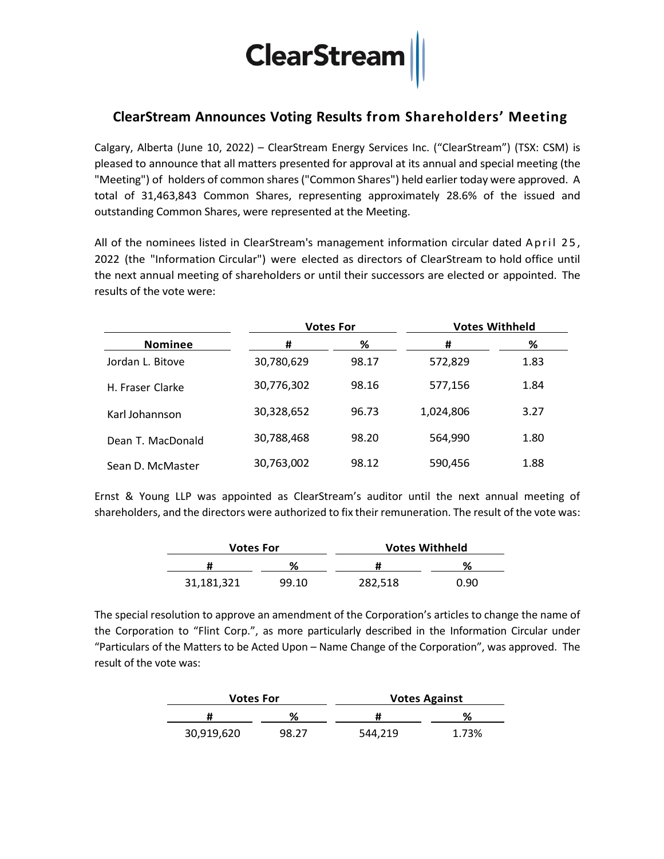# $\fbox{ClearStream}$

## **ClearStream Announces Voting Results from Shareholders' Meeting**

Calgary, Alberta (June 10, 2022) – ClearStream Energy Services Inc. ("ClearStream") (TSX: CSM) is pleased to announce that all matters presented for approval at its annual and special meeting (the "Meeting") of holders of common shares ("Common Shares") held earlier today were approved. A total of 31,463,843 Common Shares, representing approximately 28.6% of the issued and outstanding Common Shares, were represented at the Meeting.

All of the nominees listed in ClearStream's management information circular dated April 25, 2022 (the "Information Circular") were elected as directors of ClearStream to hold office until the next annual meeting of shareholders or until their successors are elected or appointed. The results of the vote were:

|                   | <b>Votes For</b> |       | <b>Votes Withheld</b> |      |
|-------------------|------------------|-------|-----------------------|------|
| <b>Nominee</b>    | #                | ℅     | #                     | %    |
| Jordan L. Bitove  | 30,780,629       | 98.17 | 572,829               | 1.83 |
| H. Fraser Clarke  | 30,776,302       | 98.16 | 577,156               | 1.84 |
| Karl Johannson    | 30,328,652       | 96.73 | 1,024,806             | 3.27 |
| Dean T. MacDonald | 30,788,468       | 98.20 | 564,990               | 1.80 |
| Sean D. McMaster  | 30,763,002       | 98.12 | 590,456               | 1.88 |

Ernst & Young LLP was appointed as ClearStream's auditor until the next annual meeting of shareholders, and the directors were authorized to fix their remuneration. The result of the vote was:

| <b>Votes For</b> |       | <b>Votes Withheld</b> |      |  |
|------------------|-------|-----------------------|------|--|
|                  | ℅     |                       | ℅    |  |
| 31,181,321       | 99.10 | 282,518               | 0.90 |  |

The special resolution to approve an amendment of the Corporation's articles to change the name of the Corporation to "Flint Corp.", as more particularly described in the Information Circular under "Particulars of the Matters to be Acted Upon – Name Change of the Corporation", was approved. The result of the vote was:

| <b>Votes For</b> |       | <b>Votes Against</b> |       |  |
|------------------|-------|----------------------|-------|--|
|                  | ℅     | π                    | ℀     |  |
| 30,919,620       | 98.27 | 544.219              | 1.73% |  |